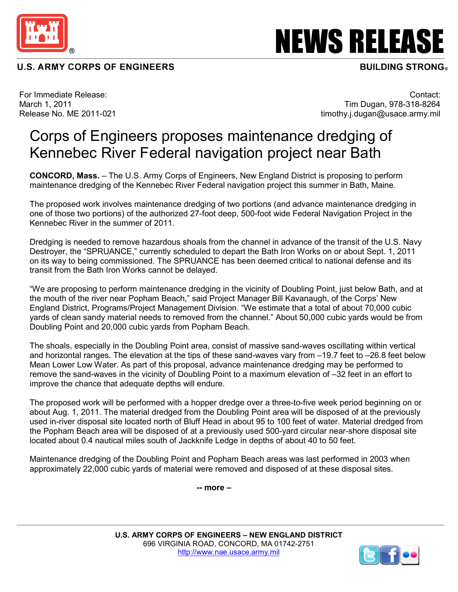

## **U.S. ARMY CORPS OF ENGINEERS**

NEWS RELEASE

## **BUILDING STRONG®**

For Immediate Release: March 1, 2011 Release No. ME 2011-021

Contact: Tim Dugan, 978-318-8264 timothy.j.dugan@usace.army.mil

## Corps of Engineers proposes maintenance dredging of Kennebec River Federal navigation project near Bath

**CONCORD, Mass.** – The U.S. Army Corps of Engineers, New England District is proposing to perform maintenance dredging of the Kennebec River Federal navigation project this summer in Bath, Maine.

The proposed work involves maintenance dredging of two portions (and advance maintenance dredging in one of those two portions) of the authorized 27-foot deep, 500-foot wide Federal Navigation Project in the Kennebec River in the summer of 2011.

Dredging is needed to remove hazardous shoals from the channel in advance of the transit of the U.S. Navy Destroyer, the "SPRUANCE," currently scheduled to depart the Bath Iron Works on or about Sept. 1, 2011 on its way to being commissioned. The SPRUANCE has been deemed critical to national defense and its transit from the Bath Iron Works cannot be delayed.

"We are proposing to perform maintenance dredging in the vicinity of Doubling Point, just below Bath, and at the mouth of the river near Popham Beach," said Project Manager Bill Kavanaugh, of the Corps' New England District, Programs/Project Management Division. "We estimate that a total of about 70,000 cubic yards of clean sandy material needs to removed from the channel." About 50,000 cubic yards would be from Doubling Point and 20,000 cubic yards from Popham Beach.

The shoals, especially in the Doubling Point area, consist of massive sand-waves oscillating within vertical and horizontal ranges. The elevation at the tips of these sand-waves vary from –19.7 feet to –26.8 feet below Mean Lower Low Water. As part of this proposal, advance maintenance dredging may be performed to remove the sand-waves in the vicinity of Doubling Point to a maximum elevation of –32 feet in an effort to improve the chance that adequate depths will endure.

The proposed work will be performed with a hopper dredge over a three-to-five week period beginning on or about Aug. 1, 2011. The material dredged from the Doubling Point area will be disposed of at the previously used in-river disposal site located north of Bluff Head in about 95 to 100 feet of water. Material dredged from the Popham Beach area will be disposed of at a previously used 500-yard circular near-shore disposal site located about 0.4 nautical miles south of Jackknife Ledge in depths of about 40 to 50 feet.

Maintenance dredging of the Doubling Point and Popham Beach areas was last performed in 2003 when approximately 22,000 cubic yards of material were removed and disposed of at these disposal sites.

 **-- more –**